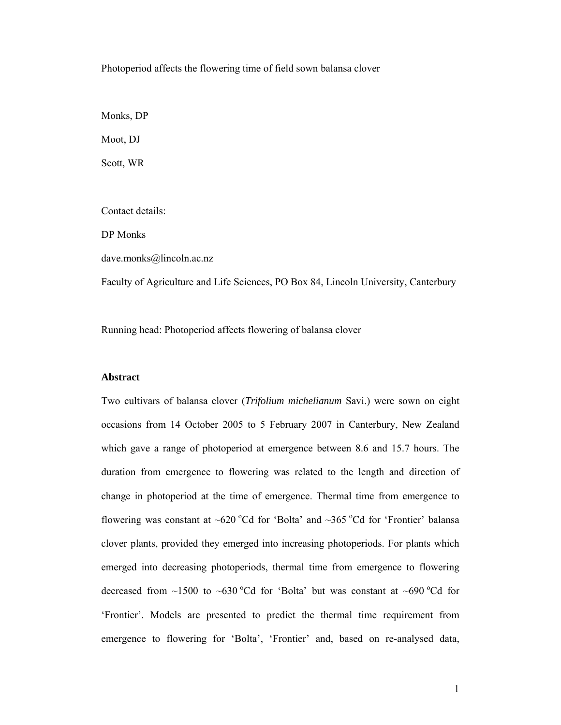Photoperiod affects the flowering time of field sown balansa clover

Monks, DP

Moot, DJ

Scott, WR

Contact details:

DP Monks

dave.monks@lincoln.ac.nz

Faculty of Agriculture and Life Sciences, PO Box 84, Lincoln University, Canterbury

Running head: Photoperiod affects flowering of balansa clover

## **Abstract**

Two cultivars of balansa clover (*Trifolium michelianum* Savi.) were sown on eight occasions from 14 October 2005 to 5 February 2007 in Canterbury, New Zealand which gave a range of photoperiod at emergence between 8.6 and 15.7 hours. The duration from emergence to flowering was related to the length and direction of change in photoperiod at the time of emergence. Thermal time from emergence to flowering was constant at ~620 °Cd for 'Bolta' and ~365 °Cd for 'Frontier' balansa clover plants, provided they emerged into increasing photoperiods. For plants which emerged into decreasing photoperiods, thermal time from emergence to flowering decreased from  $\sim$ 1500 to  $\sim$ 630 °Cd for 'Bolta' but was constant at  $\sim$ 690 °Cd for 'Frontier'. Models are presented to predict the thermal time requirement from emergence to flowering for 'Bolta', 'Frontier' and, based on re-analysed data,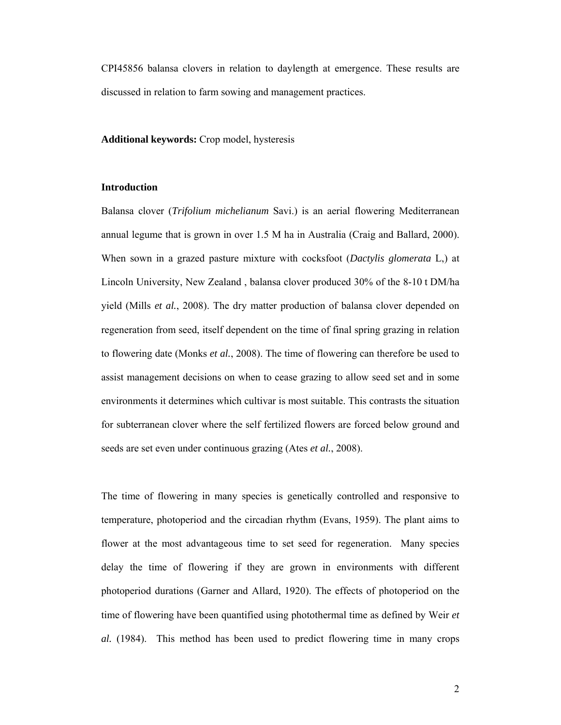CPI45856 balansa clovers in relation to daylength at emergence. These results are discussed in relation to farm sowing and management practices.

**Additional keywords:** Crop model, hysteresis

# **Introduction**

Balansa clover (*Trifolium michelianum* Savi.) is an aerial flowering Mediterranean annual legume that is grown in over 1.5 M ha in Australia (Craig and Ballard, 2000). When sown in a grazed pasture mixture with cocksfoot (*Dactylis glomerata* L,) at Lincoln University, New Zealand , balansa clover produced 30% of the 8-10 t DM/ha yield (Mills *et al.*, 2008). The dry matter production of balansa clover depended on regeneration from seed, itself dependent on the time of final spring grazing in relation to flowering date (Monks *et al.*, 2008). The time of flowering can therefore be used to assist management decisions on when to cease grazing to allow seed set and in some environments it determines which cultivar is most suitable. This contrasts the situation for subterranean clover where the self fertilized flowers are forced below ground and seeds are set even under continuous grazing (Ates *et al.*, 2008).

The time of flowering in many species is genetically controlled and responsive to temperature, photoperiod and the circadian rhythm (Evans, 1959). The plant aims to flower at the most advantageous time to set seed for regeneration. Many species delay the time of flowering if they are grown in environments with different photoperiod durations (Garner and Allard, 1920). The effects of photoperiod on the time of flowering have been quantified using photothermal time as defined by Weir *et al.* (1984). This method has been used to predict flowering time in many crops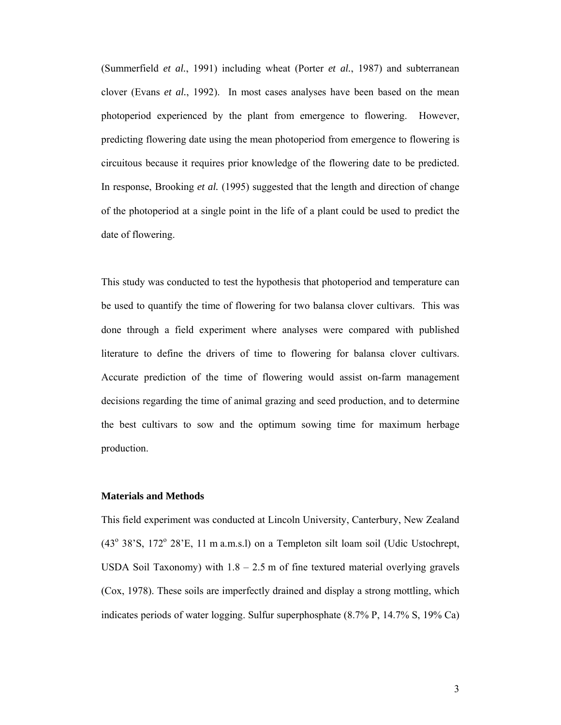(Summerfield *et al.*, 1991) including wheat (Porter *et al.*, 1987) and subterranean clover (Evans *et al.*, 1992). In most cases analyses have been based on the mean photoperiod experienced by the plant from emergence to flowering. However, predicting flowering date using the mean photoperiod from emergence to flowering is circuitous because it requires prior knowledge of the flowering date to be predicted. In response, Brooking *et al.* (1995) suggested that the length and direction of change of the photoperiod at a single point in the life of a plant could be used to predict the date of flowering.

This study was conducted to test the hypothesis that photoperiod and temperature can be used to quantify the time of flowering for two balansa clover cultivars. This was done through a field experiment where analyses were compared with published literature to define the drivers of time to flowering for balansa clover cultivars. Accurate prediction of the time of flowering would assist on-farm management decisions regarding the time of animal grazing and seed production, and to determine the best cultivars to sow and the optimum sowing time for maximum herbage production.

### **Materials and Methods**

This field experiment was conducted at Lincoln University, Canterbury, New Zealand  $(43^{\circ}$  38'S,  $172^{\circ}$  28'E, 11 m a.m.s.l) on a Templeton silt loam soil (Udic Ustochrept, USDA Soil Taxonomy) with  $1.8 - 2.5$  m of fine textured material overlying gravels (Cox, 1978). These soils are imperfectly drained and display a strong mottling, which indicates periods of water logging. Sulfur superphosphate (8.7% P, 14.7% S, 19% Ca)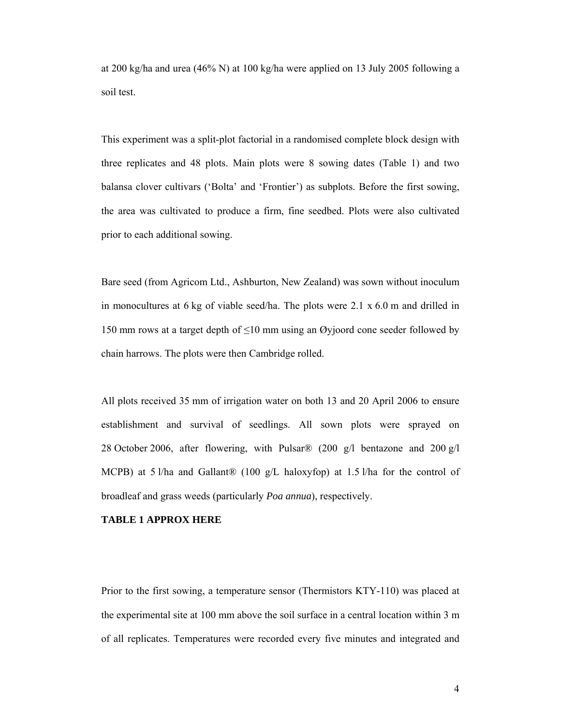at 200 kg/ha and urea (46% N) at 100 kg/ha were applied on 13 July 2005 following a soil test.

This experiment was a split-plot factorial in a randomised complete block design with three replicates and 48 plots. Main plots were 8 sowing dates (Table 1) and two balansa clover cultivars ('Bolta' and 'Frontier') as subplots. Before the first sowing, the area was cultivated to produce a firm, fine seedbed. Plots were also cultivated prior to each additional sowing.

Bare seed (from Agricom Ltd., Ashburton, New Zealand) was sown without inoculum in monocultures at 6 kg of viable seed/ha. The plots were  $2.1 \times 6.0$  m and drilled in 150 mm rows at a target depth of ≤10 mm using an Øyjoord cone seeder followed by chain harrows. The plots were then Cambridge rolled.

All plots received 35 mm of irrigation water on both 13 and 20 April 2006 to ensure establishment and survival of seedlings. All sown plots were sprayed on 28 October 2006, after flowering, with Pulsar® (200 g/l bentazone and 200 g/l MCPB) at 5 l/ha and Gallant® (100 g/L haloxyfop) at 1.5 l/ha for the control of broadleaf and grass weeds (particularly *Poa annua*), respectively.

## **TABLE 1 APPROX HERE**

Prior to the first sowing, a temperature sensor (Thermistors KTY-110) was placed at the experimental site at 100 mm above the soil surface in a central location within 3 m of all replicates. Temperatures were recorded every five minutes and integrated and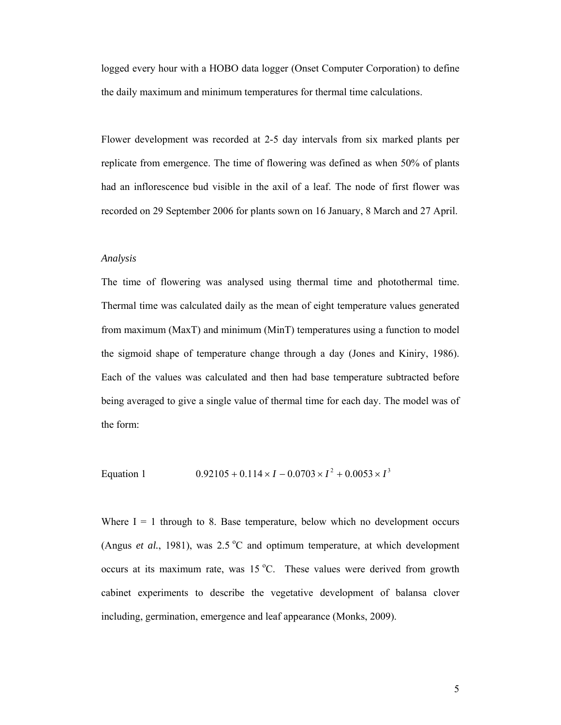logged every hour with a HOBO data logger (Onset Computer Corporation) to define the daily maximum and minimum temperatures for thermal time calculations.

Flower development was recorded at 2-5 day intervals from six marked plants per replicate from emergence. The time of flowering was defined as when 50% of plants had an inflorescence bud visible in the axil of a leaf. The node of first flower was recorded on 29 September 2006 for plants sown on 16 January, 8 March and 27 April.

## *Analysis*

The time of flowering was analysed using thermal time and photothermal time. Thermal time was calculated daily as the mean of eight temperature values generated from maximum (MaxT) and minimum (MinT) temperatures using a function to model the sigmoid shape of temperature change through a day (Jones and Kiniry, 1986). Each of the values was calculated and then had base temperature subtracted before being averaged to give a single value of thermal time for each day. The model was of the form:

Equation 1 
$$
0.92105 + 0.114 \times I - 0.0703 \times I^2 + 0.0053 \times I^3
$$

Where  $I = 1$  through to 8. Base temperature, below which no development occurs (Angus *et al.*, 1981), was  $2.5^{\circ}$ C and optimum temperature, at which development occurs at its maximum rate, was  $15^{\circ}$ C. These values were derived from growth cabinet experiments to describe the vegetative development of balansa clover including, germination, emergence and leaf appearance (Monks, 2009).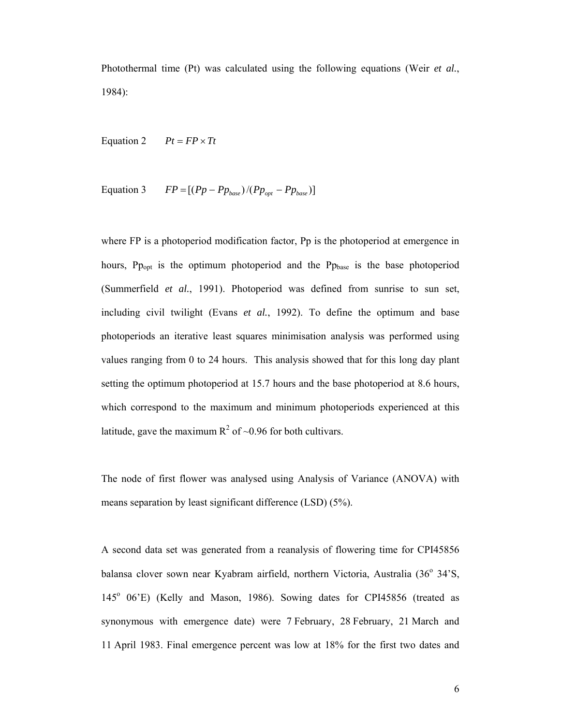Photothermal time (Pt) was calculated using the following equations (Weir *et al.*, 1984):

Equation 2  $Pt = FP \times Tt$ 

Equation 3 
$$
FP = [(Pp - Pp_{base})/(Pp_{opt} - Pp_{base})]
$$

where FP is a photoperiod modification factor, Pp is the photoperiod at emergence in hours,  $P_{\text{Popt}}$  is the optimum photoperiod and the  $P_{\text{Dbase}}$  is the base photoperiod (Summerfield *et al.*, 1991). Photoperiod was defined from sunrise to sun set, including civil twilight (Evans *et al.*, 1992). To define the optimum and base photoperiods an iterative least squares minimisation analysis was performed using values ranging from 0 to 24 hours. This analysis showed that for this long day plant setting the optimum photoperiod at 15.7 hours and the base photoperiod at 8.6 hours, which correspond to the maximum and minimum photoperiods experienced at this latitude, gave the maximum  $R^2$  of ~0.96 for both cultivars.

The node of first flower was analysed using Analysis of Variance (ANOVA) with means separation by least significant difference (LSD) (5%).

A second data set was generated from a reanalysis of flowering time for CPI45856 balansa clover sown near Kyabram airfield, northern Victoria, Australia (36° 34'S, 145° 06'E) (Kelly and Mason, 1986). Sowing dates for CPI45856 (treated as synonymous with emergence date) were 7 February, 28 February, 21 March and 11 April 1983. Final emergence percent was low at 18% for the first two dates and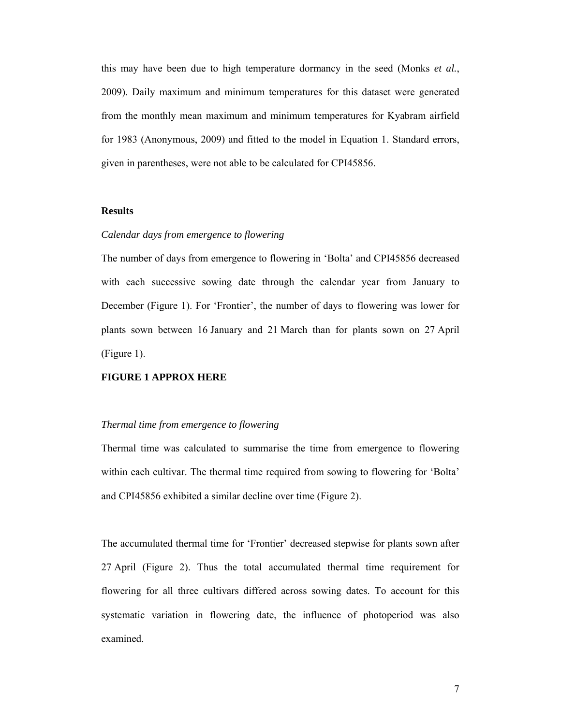this may have been due to high temperature dormancy in the seed (Monks *et al.*, 2009). Daily maximum and minimum temperatures for this dataset were generated from the monthly mean maximum and minimum temperatures for Kyabram airfield for 1983 (Anonymous, 2009) and fitted to the model in Equation 1. Standard errors, given in parentheses, were not able to be calculated for CPI45856.

# **Results**

## *Calendar days from emergence to flowering*

The number of days from emergence to flowering in 'Bolta' and CPI45856 decreased with each successive sowing date through the calendar year from January to December (Figure 1). For 'Frontier', the number of days to flowering was lower for plants sown between 16 January and 21 March than for plants sown on 27 April (Figure 1).

# **FIGURE 1 APPROX HERE**

## *Thermal time from emergence to flowering*

Thermal time was calculated to summarise the time from emergence to flowering within each cultivar. The thermal time required from sowing to flowering for 'Bolta' and CPI45856 exhibited a similar decline over time (Figure 2).

The accumulated thermal time for 'Frontier' decreased stepwise for plants sown after 27 April (Figure 2). Thus the total accumulated thermal time requirement for flowering for all three cultivars differed across sowing dates. To account for this systematic variation in flowering date, the influence of photoperiod was also examined.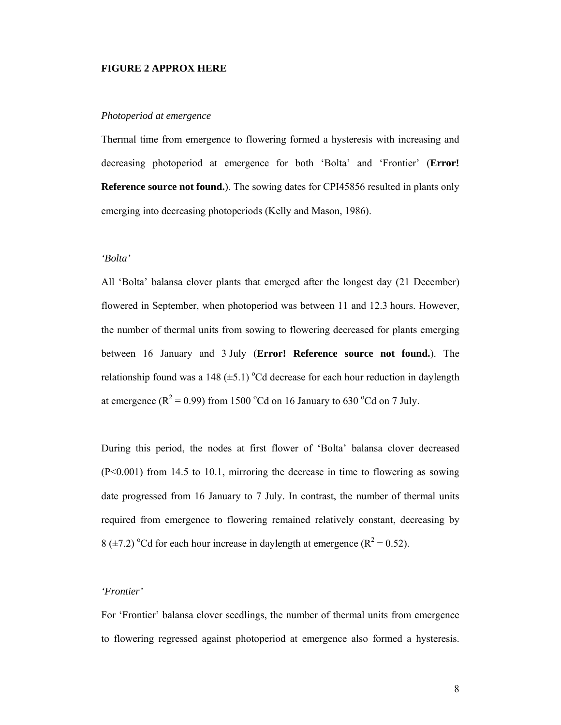## **FIGURE 2 APPROX HERE**

#### *Photoperiod at emergence*

Thermal time from emergence to flowering formed a hysteresis with increasing and decreasing photoperiod at emergence for both 'Bolta' and 'Frontier' (**Error! Reference source not found.**). The sowing dates for CPI45856 resulted in plants only emerging into decreasing photoperiods (Kelly and Mason, 1986).

## *'Bolta'*

All 'Bolta' balansa clover plants that emerged after the longest day (21 December) flowered in September, when photoperiod was between 11 and 12.3 hours. However, the number of thermal units from sowing to flowering decreased for plants emerging between 16 January and 3 July (**Error! Reference source not found.**). The relationship found was a 148  $(\pm 5.1)$  °Cd decrease for each hour reduction in daylength at emergence ( $R^2 = 0.99$ ) from 1500 °Cd on 16 January to 630 °Cd on 7 July.

During this period, the nodes at first flower of 'Bolta' balansa clover decreased (P<0.001) from 14.5 to 10.1, mirroring the decrease in time to flowering as sowing date progressed from 16 January to 7 July. In contrast, the number of thermal units required from emergence to flowering remained relatively constant, decreasing by 8 ( $\pm$ 7.2) <sup>o</sup>Cd for each hour increase in daylength at emergence ( $R^2$  = 0.52).

## *'Frontier'*

For 'Frontier' balansa clover seedlings, the number of thermal units from emergence to flowering regressed against photoperiod at emergence also formed a hysteresis.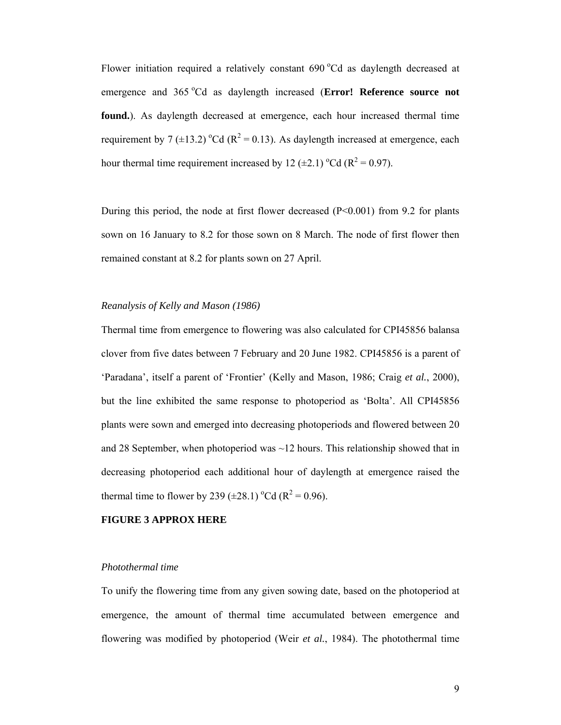Flower initiation required a relatively constant 690 °Cd as daylength decreased at emergence and 365 °Cd as daylength increased (Error! Reference source not **found.**). As daylength decreased at emergence, each hour increased thermal time requirement by 7 ( $\pm$ 13.2) <sup>o</sup>Cd ( $R^2$  = 0.13). As daylength increased at emergence, each hour thermal time requirement increased by 12 ( $\pm$ 2.1) <sup>o</sup>Cd ( $R^2$  = 0.97).

During this period, the node at first flower decreased (P<0.001) from 9.2 for plants sown on 16 January to 8.2 for those sown on 8 March. The node of first flower then remained constant at 8.2 for plants sown on 27 April.

## *Reanalysis of Kelly and Mason (1986)*

Thermal time from emergence to flowering was also calculated for CPI45856 balansa clover from five dates between 7 February and 20 June 1982. CPI45856 is a parent of 'Paradana', itself a parent of 'Frontier' (Kelly and Mason, 1986; Craig *et al.*, 2000), but the line exhibited the same response to photoperiod as 'Bolta'. All CPI45856 plants were sown and emerged into decreasing photoperiods and flowered between 20 and 28 September, when photoperiod was  $\sim$  12 hours. This relationship showed that in decreasing photoperiod each additional hour of daylength at emergence raised the thermal time to flower by 239 ( $\pm$ 28.1) <sup>o</sup>Cd ( $R^2$  = 0.96).

## **FIGURE 3 APPROX HERE**

#### *Photothermal time*

To unify the flowering time from any given sowing date, based on the photoperiod at emergence, the amount of thermal time accumulated between emergence and flowering was modified by photoperiod (Weir *et al.*, 1984). The photothermal time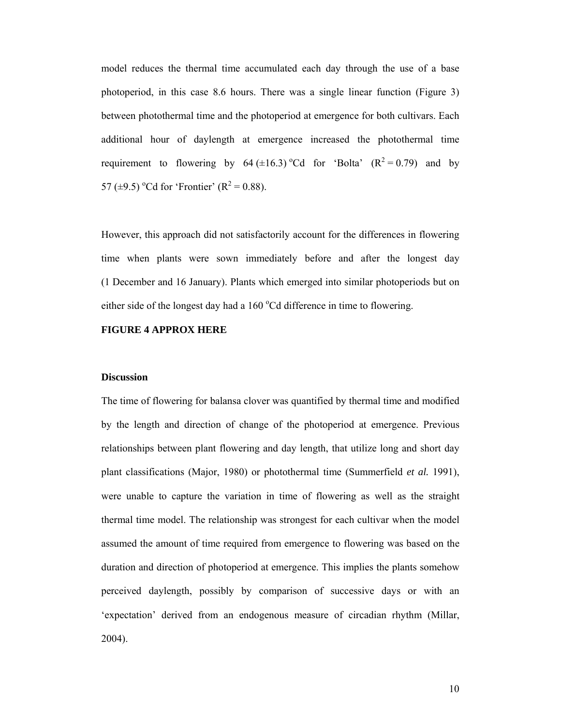model reduces the thermal time accumulated each day through the use of a base photoperiod, in this case 8.6 hours. There was a single linear function (Figure 3) between photothermal time and the photoperiod at emergence for both cultivars. Each additional hour of daylength at emergence increased the photothermal time requirement to flowering by  $64 \ (\pm 16.3)$  °Cd for 'Bolta'  $(R^2 = 0.79)$  and by 57 ( $\pm$ 9.5) <sup>o</sup>Cd for 'Frontier' ( $R^2$  = 0.88).

However, this approach did not satisfactorily account for the differences in flowering time when plants were sown immediately before and after the longest day (1 December and 16 January). Plants which emerged into similar photoperiods but on either side of the longest day had a 160 °Cd difference in time to flowering.

# **FIGURE 4 APPROX HERE**

## **Discussion**

The time of flowering for balansa clover was quantified by thermal time and modified by the length and direction of change of the photoperiod at emergence. Previous relationships between plant flowering and day length, that utilize long and short day plant classifications (Major, 1980) or photothermal time (Summerfield *et al.* 1991), were unable to capture the variation in time of flowering as well as the straight thermal time model. The relationship was strongest for each cultivar when the model assumed the amount of time required from emergence to flowering was based on the duration and direction of photoperiod at emergence. This implies the plants somehow perceived daylength, possibly by comparison of successive days or with an 'expectation' derived from an endogenous measure of circadian rhythm (Millar, 2004).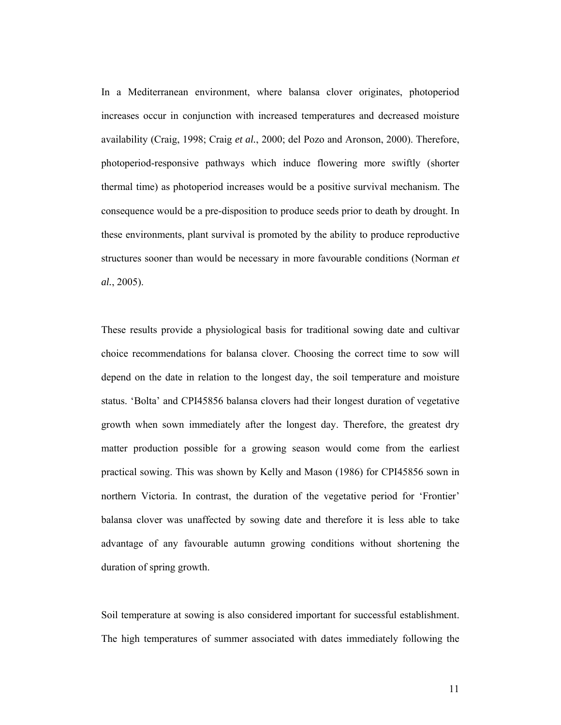In a Mediterranean environment, where balansa clover originates, photoperiod increases occur in conjunction with increased temperatures and decreased moisture availability (Craig, 1998; Craig *et al.*, 2000; del Pozo and Aronson, 2000). Therefore, photoperiod-responsive pathways which induce flowering more swiftly (shorter thermal time) as photoperiod increases would be a positive survival mechanism. The consequence would be a pre-disposition to produce seeds prior to death by drought. In these environments, plant survival is promoted by the ability to produce reproductive structures sooner than would be necessary in more favourable conditions (Norman *et al.*, 2005).

These results provide a physiological basis for traditional sowing date and cultivar choice recommendations for balansa clover. Choosing the correct time to sow will depend on the date in relation to the longest day, the soil temperature and moisture status. 'Bolta' and CPI45856 balansa clovers had their longest duration of vegetative growth when sown immediately after the longest day. Therefore, the greatest dry matter production possible for a growing season would come from the earliest practical sowing. This was shown by Kelly and Mason (1986) for CPI45856 sown in northern Victoria. In contrast, the duration of the vegetative period for 'Frontier' balansa clover was unaffected by sowing date and therefore it is less able to take advantage of any favourable autumn growing conditions without shortening the duration of spring growth.

Soil temperature at sowing is also considered important for successful establishment. The high temperatures of summer associated with dates immediately following the

11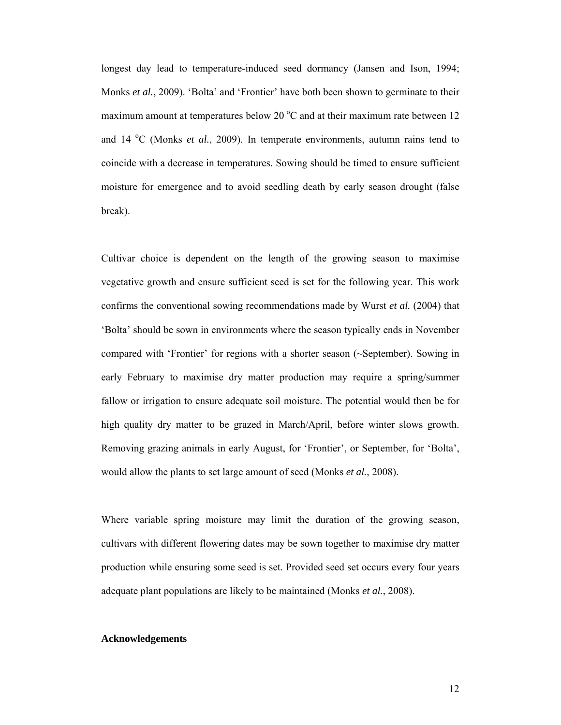longest day lead to temperature-induced seed dormancy (Jansen and Ison, 1994; Monks *et al.*, 2009). 'Bolta' and 'Frontier' have both been shown to germinate to their maximum amount at temperatures below 20 $\degree$ C and at their maximum rate between 12 and 14 <sup>o</sup>C (Monks *et al.*, 2009). In temperate environments, autumn rains tend to coincide with a decrease in temperatures. Sowing should be timed to ensure sufficient moisture for emergence and to avoid seedling death by early season drought (false break).

Cultivar choice is dependent on the length of the growing season to maximise vegetative growth and ensure sufficient seed is set for the following year. This work confirms the conventional sowing recommendations made by Wurst *et al.* (2004) that 'Bolta' should be sown in environments where the season typically ends in November compared with 'Frontier' for regions with a shorter season (~September). Sowing in early February to maximise dry matter production may require a spring/summer fallow or irrigation to ensure adequate soil moisture. The potential would then be for high quality dry matter to be grazed in March/April, before winter slows growth. Removing grazing animals in early August, for 'Frontier', or September, for 'Bolta', would allow the plants to set large amount of seed (Monks *et al.*, 2008).

Where variable spring moisture may limit the duration of the growing season, cultivars with different flowering dates may be sown together to maximise dry matter production while ensuring some seed is set. Provided seed set occurs every four years adequate plant populations are likely to be maintained (Monks *et al.*, 2008).

## **Acknowledgements**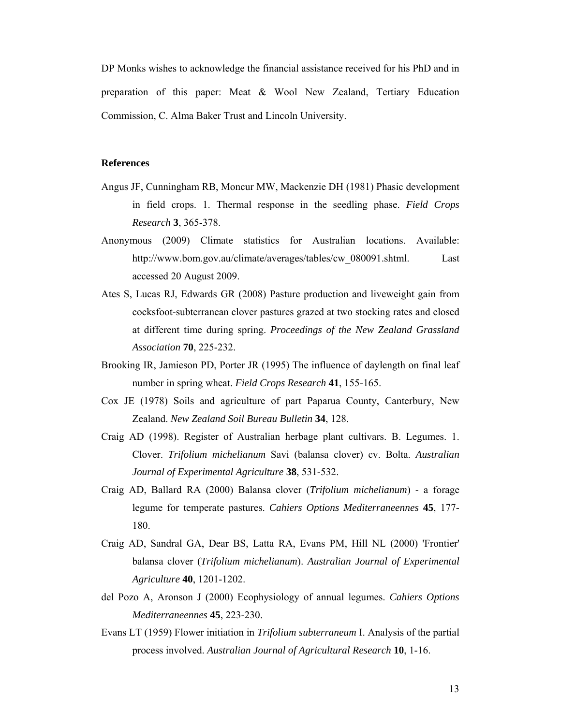DP Monks wishes to acknowledge the financial assistance received for his PhD and in preparation of this paper: Meat & Wool New Zealand, Tertiary Education Commission, C. Alma Baker Trust and Lincoln University.

## **References**

- Angus JF, Cunningham RB, Moncur MW, Mackenzie DH (1981) Phasic development in field crops. 1. Thermal response in the seedling phase. *Field Crops Research* **3**, 365-378.
- Anonymous (2009) Climate statistics for Australian locations. Available: http://www.bom.gov.au/climate/averages/tables/cw\_080091.shtml. Last accessed 20 August 2009.
- Ates S, Lucas RJ, Edwards GR (2008) Pasture production and liveweight gain from cocksfoot-subterranean clover pastures grazed at two stocking rates and closed at different time during spring. *Proceedings of the New Zealand Grassland Association* **70**, 225-232.
- Brooking IR, Jamieson PD, Porter JR (1995) The influence of daylength on final leaf number in spring wheat. *Field Crops Research* **41**, 155-165.
- Cox JE (1978) Soils and agriculture of part Paparua County, Canterbury, New Zealand. *New Zealand Soil Bureau Bulletin* **34**, 128.
- Craig AD (1998). Register of Australian herbage plant cultivars. B. Legumes. 1. Clover. *Trifolium michelianum* Savi (balansa clover) cv. Bolta. *Australian Journal of Experimental Agriculture* **38**, 531-532.
- Craig AD, Ballard RA (2000) Balansa clover (*Trifolium michelianum*) a forage legume for temperate pastures. *Cahiers Options Mediterraneennes* **45**, 177- 180.
- Craig AD, Sandral GA, Dear BS, Latta RA, Evans PM, Hill NL (2000) 'Frontier' balansa clover (*Trifolium michelianum*). *Australian Journal of Experimental Agriculture* **40**, 1201-1202.
- del Pozo A, Aronson J (2000) Ecophysiology of annual legumes. *Cahiers Options Mediterraneennes* **45**, 223-230.
- Evans LT (1959) Flower initiation in *Trifolium subterraneum* I. Analysis of the partial process involved. *Australian Journal of Agricultural Research* **10**, 1-16.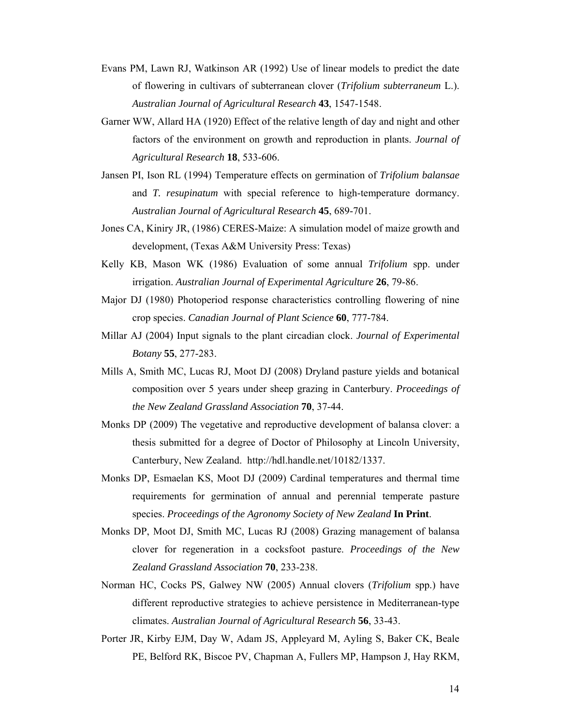- Evans PM, Lawn RJ, Watkinson AR (1992) Use of linear models to predict the date of flowering in cultivars of subterranean clover (*Trifolium subterraneum* L.). *Australian Journal of Agricultural Research* **43**, 1547-1548.
- Garner WW, Allard HA (1920) Effect of the relative length of day and night and other factors of the environment on growth and reproduction in plants. *Journal of Agricultural Research* **18**, 533-606.
- Jansen PI, Ison RL (1994) Temperature effects on germination of *Trifolium balansae*  and *T. resupinatum* with special reference to high-temperature dormancy. *Australian Journal of Agricultural Research* **45**, 689-701.
- Jones CA, Kiniry JR, (1986) CERES-Maize: A simulation model of maize growth and development, (Texas A&M University Press: Texas)
- Kelly KB, Mason WK (1986) Evaluation of some annual *Trifolium* spp. under irrigation. *Australian Journal of Experimental Agriculture* **26**, 79-86.
- Major DJ (1980) Photoperiod response characteristics controlling flowering of nine crop species. *Canadian Journal of Plant Science* **60**, 777-784.
- Millar AJ (2004) Input signals to the plant circadian clock. *Journal of Experimental Botany* **55**, 277-283.
- Mills A, Smith MC, Lucas RJ, Moot DJ (2008) Dryland pasture yields and botanical composition over 5 years under sheep grazing in Canterbury. *Proceedings of the New Zealand Grassland Association* **70**, 37-44.
- Monks DP (2009) The vegetative and reproductive development of balansa clover: a thesis submitted for a degree of Doctor of Philosophy at Lincoln University, Canterbury, New Zealand. http://hdl.handle.net/10182/1337.
- Monks DP, Esmaelan KS, Moot DJ (2009) Cardinal temperatures and thermal time requirements for germination of annual and perennial temperate pasture species. *Proceedings of the Agronomy Society of New Zealand* **In Print**.
- Monks DP, Moot DJ, Smith MC, Lucas RJ (2008) Grazing management of balansa clover for regeneration in a cocksfoot pasture. *Proceedings of the New Zealand Grassland Association* **70**, 233-238.
- Norman HC, Cocks PS, Galwey NW (2005) Annual clovers (*Trifolium* spp.) have different reproductive strategies to achieve persistence in Mediterranean-type climates. *Australian Journal of Agricultural Research* **56**, 33-43.
- Porter JR, Kirby EJM, Day W, Adam JS, Appleyard M, Ayling S, Baker CK, Beale PE, Belford RK, Biscoe PV, Chapman A, Fullers MP, Hampson J, Hay RKM,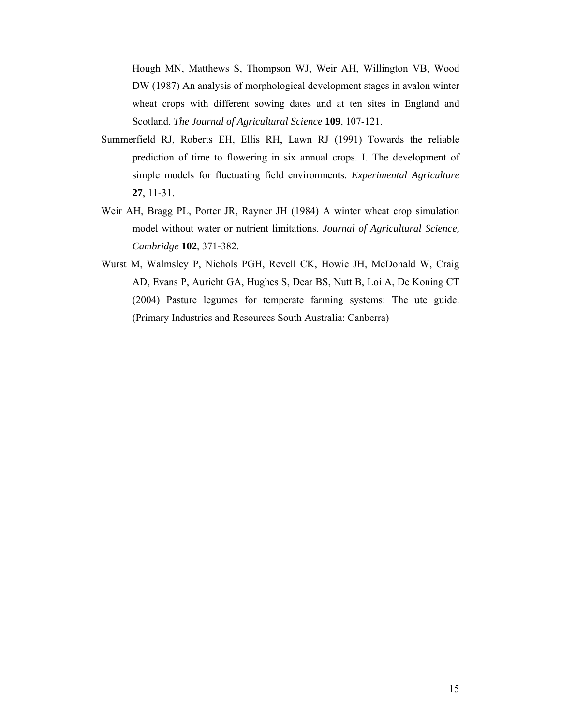Hough MN, Matthews S, Thompson WJ, Weir AH, Willington VB, Wood DW (1987) An analysis of morphological development stages in avalon winter wheat crops with different sowing dates and at ten sites in England and Scotland. *The Journal of Agricultural Science* **109**, 107-121.

- Summerfield RJ, Roberts EH, Ellis RH, Lawn RJ (1991) Towards the reliable prediction of time to flowering in six annual crops. I. The development of simple models for fluctuating field environments. *Experimental Agriculture* **27**, 11-31.
- Weir AH, Bragg PL, Porter JR, Rayner JH (1984) A winter wheat crop simulation model without water or nutrient limitations. *Journal of Agricultural Science, Cambridge* **102**, 371-382.
- Wurst M, Walmsley P, Nichols PGH, Revell CK, Howie JH, McDonald W, Craig AD, Evans P, Auricht GA, Hughes S, Dear BS, Nutt B, Loi A, De Koning CT (2004) Pasture legumes for temperate farming systems: The ute guide. (Primary Industries and Resources South Australia: Canberra)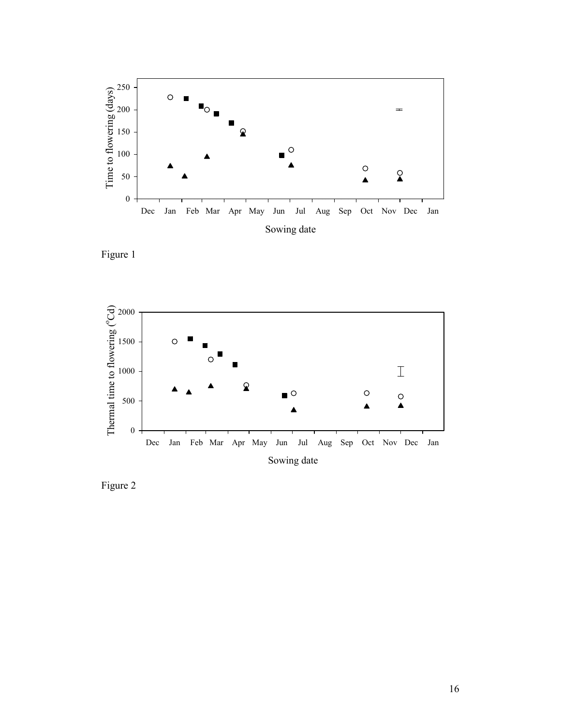

Figure 1



Figure 2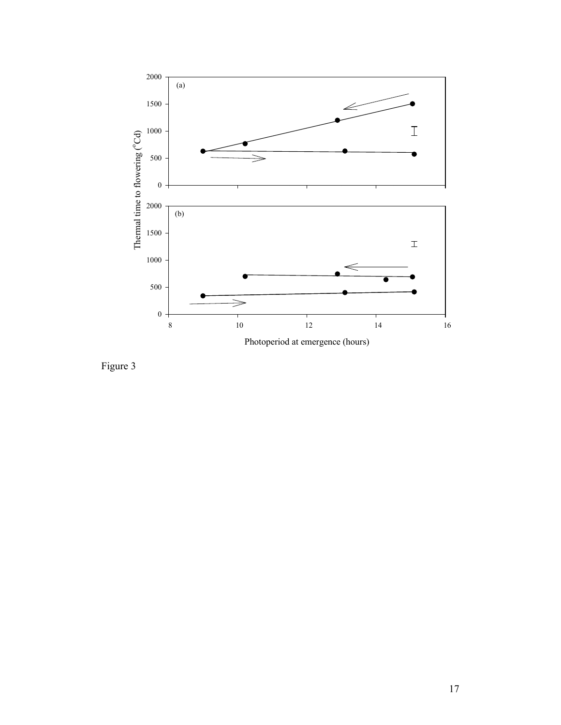

Figure 3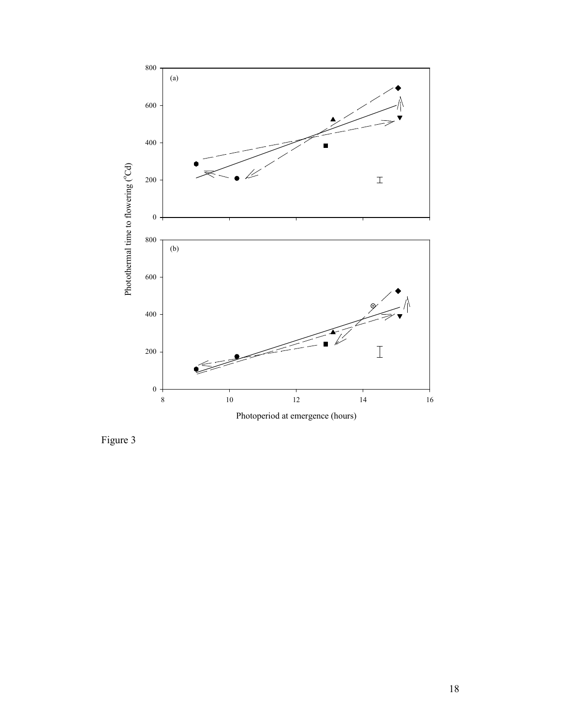

Figure 3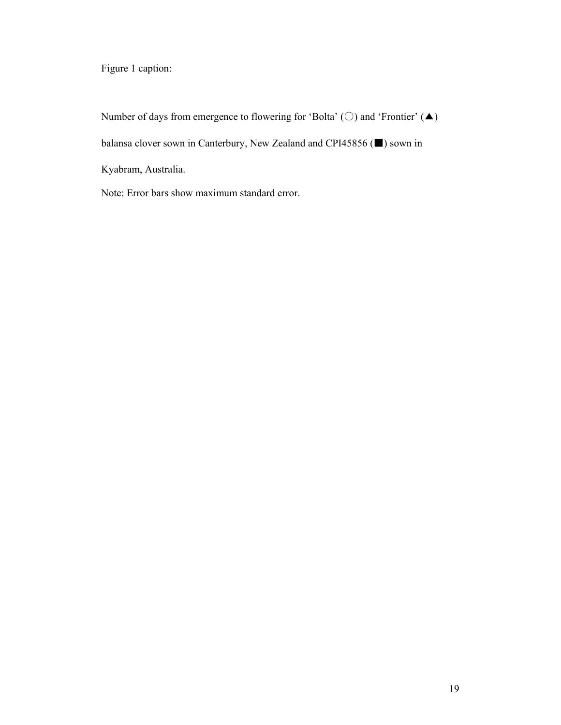Figure 1 caption:

Number of days from emergence to flowering for 'Bolta' ( $\bigcirc$ ) and 'Frontier' ( $\blacktriangle$ ) balansa clover sown in Canterbury, New Zealand and CPI45856 (■) sown in Kyabram, Australia.

Note: Error bars show maximum standard error.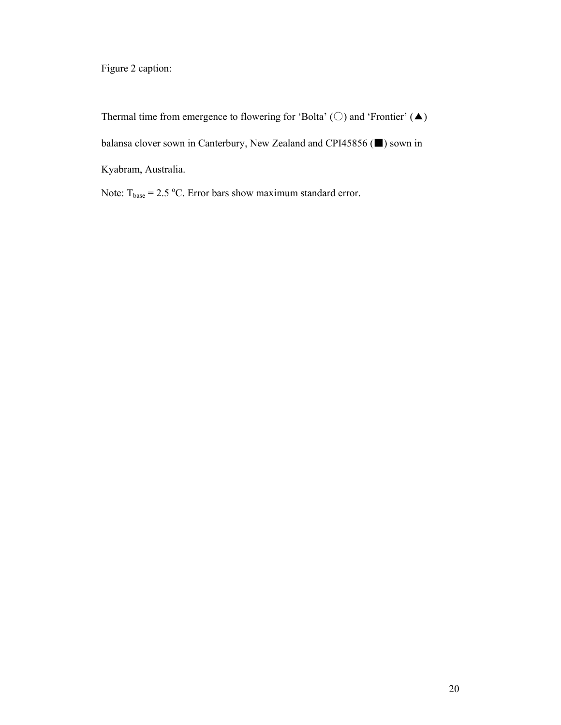Figure 2 caption:

Thermal time from emergence to flowering for 'Bolta' ( $\bigcirc$ ) and 'Frontier' ( $\blacktriangle$ ) balansa clover sown in Canterbury, New Zealand and CPI45856 (■) sown in Kyabram, Australia.

Note:  $T_{base} = 2.5 \text{ °C}$ . Error bars show maximum standard error.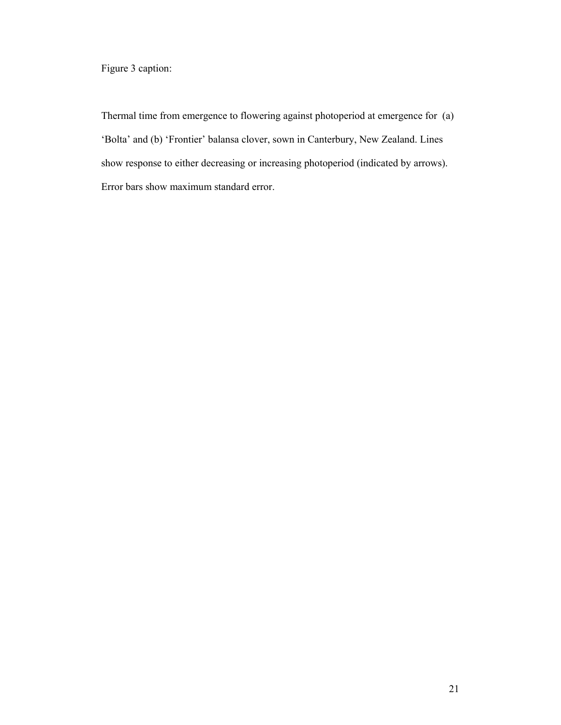Figure 3 caption:

Thermal time from emergence to flowering against photoperiod at emergence for (a) 'Bolta' and (b) 'Frontier' balansa clover, sown in Canterbury, New Zealand. Lines show response to either decreasing or increasing photoperiod (indicated by arrows). Error bars show maximum standard error.